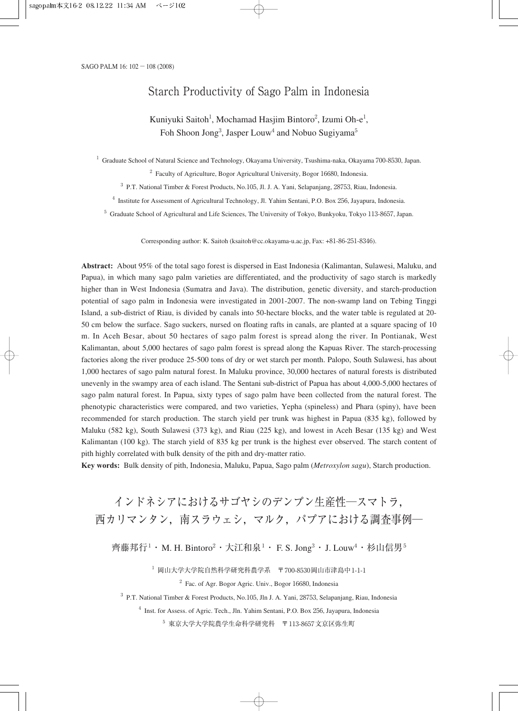# Starch Productivity of Sago Palm in Indonesia

# Kuniyuki Saitoh<sup>1</sup>, Mochamad Hasjim Bintoro<sup>2</sup>, Izumi Oh-e<sup>1</sup>, Foh Shoon Jong<sup>3</sup>, Jasper Louw<sup>4</sup> and Nobuo Sugiyama<sup>5</sup>

<sup>1</sup> Graduate School of Natural Science and Technology, Okayama University, Tsushima-naka, Okayama 700-8530, Japan.

 $2\degree$  Faculty of Agriculture, Bogor Agricultural University, Bogor 16680, Indonesia.

<sup>3</sup> P.T. National Timber & Forest Products, No.105, Jl. J. A. Yani, Selapanjang, 28753, Riau, Indonesia.

<sup>4</sup> Institute for Assessment of Agricultural Technology, Jl. Yahim Sentani, P.O. Box 256, Jayapura, Indonesia.

<sup>5</sup> Graduate School of Agricultural and Life Sciences, The University of Tokyo, Bunkyoku, Tokyo 113-8657, Japan.

Corresponding author: K. Saitoh (ksaitoh@cc.okayama-u.ac.jp, Fax: +81-86-251-8346).

**Abstract:** About 95% of the total sago forest is dispersed in East Indonesia (Kalimantan, Sulawesi, Maluku, and Papua), in which many sago palm varieties are differentiated, and the productivity of sago starch is markedly higher than in West Indonesia (Sumatra and Java). The distribution, genetic diversity, and starch-production potential of sago palm in Indonesia were investigated in 2001-2007. The non-swamp land on Tebing Tinggi Island, a sub-district of Riau, is divided by canals into 50-hectare blocks, and the water table is regulated at 20- 50 cm below the surface. Sago suckers, nursed on floating rafts in canals, are planted at a square spacing of 10 m. In Aceh Besar, about 50 hectares of sago palm forest is spread along the river. In Pontianak, West Kalimantan, about 5,000 hectares of sago palm forest is spread along the Kapuas River. The starch-processing factories along the river produce 25-500 tons of dry or wet starch per month. Palopo, South Sulawesi, has about 1,000 hectares of sago palm natural forest. In Maluku province, 30,000 hectares of natural forests is distributed unevenly in the swampy area of each island. The Sentani sub-district of Papua has about 4,000-5,000 hectares of sago palm natural forest. In Papua, sixty types of sago palm have been collected from the natural forest. The phenotypic characteristics were compared, and two varieties, Yepha (spineless) and Phara (spiny), have been recommended for starch production. The starch yield per trunk was highest in Papua (835 kg), followed by Maluku (582 kg), South Sulawesi (373 kg), and Riau (225 kg), and lowest in Aceh Besar (135 kg) and West Kalimantan (100 kg). The starch yield of 835 kg per trunk is the highest ever observed. The starch content of pith highly correlated with bulk density of the pith and dry-matter ratio.

**Key words:** Bulk density of pith, Indonesia, Maluku, Papua, Sago palm (*Metroxylon sagu*), Starch production.

# インドネシアにおけるサゴヤシのデンプン生産性―スマトラ, 西カリマンタン,南スラウェシ,マルク,パプアにおける調査事例―

齊藤邦行<sup>1</sup>・M. H. Bintoro<sup>2</sup>・大江和泉<sup>1</sup>・ F. S. Jong<sup>3</sup>・J. Louw<sup>4</sup>・杉山信男<sup>5</sup>

 $^{-1}$  岡山大学大学院自然科学研究科農学系 〒700-8530岡山市津島中1-1-1

 $2\degree$  Fac. of Agr. Bogor Agric. Univ., Bogor 16680, Indonesia

<sup>3</sup> P.T. National Timber & Forest Products, No.105, Jln J. A. Yani, 28753, Selapanjang, Riau, Indonesia

<sup>4</sup> Inst. for Assess. of Agric. Tech., Jln. Yahim Sentani, P.O. Box 256, Jayapura, Indonesia

<sup>5</sup> 東京大学大学院農学生命科学研究科 〒113-8657文京区弥生町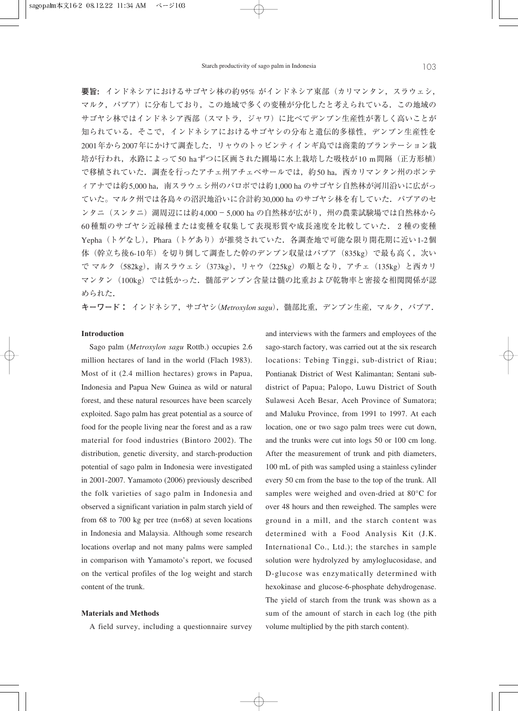**要旨:** インドネシアにおけるサゴヤシ林の約95% がインドネシア東部(カリマンタン, スラウェシ, マルク,パプア)に分布しており,この地域で多くの変種が分化したと考えられている.この地域の サゴヤシ林ではインドネシア西部(スマトラ,ジャワ)に比べてデンプン生産性が著しく高いことが 知られている.そこで,インドネシアにおけるサゴヤシの分布と遺伝的多様性,デンプン生産性を 2001年から2007年にかけて調査した.リャウのトゥビンティインギ島では商業的プランテーション栽 培が行われ,水路によって50 haずつに区画された圃場に水上栽培した吸枝が10 m間隔(正方形植) で移植されていた. 調査を行ったアチェ州アチェベサールでは、約50 ha, 西カリマンタン州のポンテ ィアナでは約5,000 ha,南スラウェシ州のパロポでは約1,000 ha のサゴヤシ自然林が河川沿いに広がっ ていた。マルク州では各島々の沼沢地沿いに合計約30,000 ha のサゴヤシ林を有していた.パプアのセ ンタニ (スンタニ) 湖周辺には約4,000-5,000 ha の自然林が広がり, 州の農業試験場では自然林から 60種類のサゴヤシ近縁種または変種を収集して表現形質や成長速度を比較していた. 2種の変種 Yepha (トゲなし), Phara (トゲあり) が推奨されていた. 各調査地で可能な限り開花期に近い1-2個 体(幹立ち後6-10年)を切り倒して調査した幹のデンプン収量はパプア (835kg) で最も高く, 次い で マルク(582kg),南スラウェシ(373kg),リャウ(225kg)の順となり,アチェ(135kg)と西カリ マンタン(100kg)では低かった.髄部デンプン含量は髄の比重および乾物率と密接な相関関係が認 められた.

**キーワード:** インドネシア,サゴヤシ(*Metroxylon sagu*),髄部比重,デンプン生産,マルク,パプア.

#### **Introduction**

Sago palm (*Metroxylon sagu* Rottb.) occupies 2.6 million hectares of land in the world (Flach 1983). Most of it (2.4 million hectares) grows in Papua, Indonesia and Papua New Guinea as wild or natural forest, and these natural resources have been scarcely exploited. Sago palm has great potential as a source of food for the people living near the forest and as a raw material for food industries (Bintoro 2002). The distribution, genetic diversity, and starch-production potential of sago palm in Indonesia were investigated in 2001-2007. Yamamoto (2006) previously described the folk varieties of sago palm in Indonesia and observed a significant variation in palm starch yield of from 68 to 700 kg per tree (n=68) at seven locations in Indonesia and Malaysia. Although some research locations overlap and not many palms were sampled in comparison with Yamamoto's report, we focused on the vertical profiles of the log weight and starch content of the trunk.

#### **Materials and Methods**

A field survey, including a questionnaire survey

and interviews with the farmers and employees of the sago-starch factory, was carried out at the six research locations: Tebing Tinggi, sub-district of Riau; Pontianak District of West Kalimantan; Sentani subdistrict of Papua; Palopo, Luwu District of South Sulawesi Aceh Besar, Aceh Province of Sumatora; and Maluku Province, from 1991 to 1997. At each location, one or two sago palm trees were cut down, and the trunks were cut into logs 50 or 100 cm long. After the measurement of trunk and pith diameters, 100 mL of pith was sampled using a stainless cylinder every 50 cm from the base to the top of the trunk. All samples were weighed and oven-dried at 80°C for over 48 hours and then reweighed. The samples were ground in a mill, and the starch content was determined with a Food Analysis Kit (J.K. International Co., Ltd.); the starches in sample solution were hydrolyzed by amyloglucosidase, and D-glucose was enzymatically determined with hexokinase and glucose-6-phosphate dehydrogenase. The yield of starch from the trunk was shown as a sum of the amount of starch in each log (the pith volume multiplied by the pith starch content).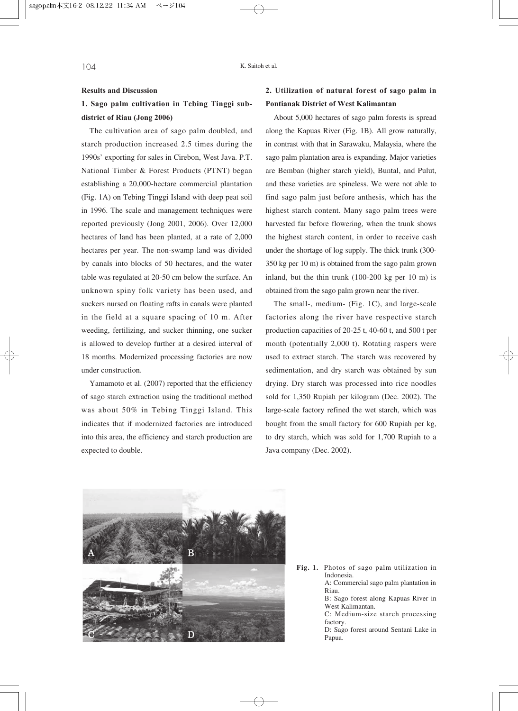#### **Results and Discussion**

#### **1. Sago palm cultivation in Tebing Tinggi subdistrict of Riau (Jong 2006)**

The cultivation area of sago palm doubled, and starch production increased 2.5 times during the 1990s' exporting for sales in Cirebon, West Java. P.T. National Timber & Forest Products (PTNT) began establishing a 20,000-hectare commercial plantation (Fig. 1A) on Tebing Tinggi Island with deep peat soil in 1996. The scale and management techniques were reported previously (Jong 2001, 2006). Over 12,000 hectares of land has been planted, at a rate of 2,000 hectares per year. The non-swamp land was divided by canals into blocks of 50 hectares, and the water table was regulated at 20-50 cm below the surface. An unknown spiny folk variety has been used, and suckers nursed on floating rafts in canals were planted in the field at a square spacing of 10 m. After weeding, fertilizing, and sucker thinning, one sucker is allowed to develop further at a desired interval of 18 months. Modernized processing factories are now under construction.

Yamamoto et al. (2007) reported that the efficiency of sago starch extraction using the traditional method was about 50% in Tebing Tinggi Island. This indicates that if modernized factories are introduced into this area, the efficiency and starch production are expected to double.

## **2. Utilization of natural forest of sago palm in Pontianak District of West Kalimantan**

About 5,000 hectares of sago palm forests is spread along the Kapuas River (Fig. 1B). All grow naturally, in contrast with that in Sarawaku, Malaysia, where the sago palm plantation area is expanding. Major varieties are Bemban (higher starch yield), Buntal, and Pulut, and these varieties are spineless. We were not able to find sago palm just before anthesis, which has the highest starch content. Many sago palm trees were harvested far before flowering, when the trunk shows the highest starch content, in order to receive cash under the shortage of log supply. The thick trunk (300- 350 kg per 10 m) is obtained from the sago palm grown inland, but the thin trunk (100-200 kg per 10 m) is obtained from the sago palm grown near the river.

The small-, medium- (Fig. 1C), and large-scale factories along the river have respective starch production capacities of 20-25 t, 40-60 t, and 500 t per month (potentially 2,000 t). Rotating raspers were used to extract starch. The starch was recovered by sedimentation, and dry starch was obtained by sun drying. Dry starch was processed into rice noodles sold for 1,350 Rupiah per kilogram (Dec. 2002). The large-scale factory refined the wet starch, which was bought from the small factory for 600 Rupiah per kg, to dry starch, which was sold for 1,700 Rupiah to a Java company (Dec. 2002).



**Fig. 1.** Photos of sago palm utilization in Indonesia. A: Commercial sago palm plantation in

Riau.

B: Sago forest along Kapuas River in West Kalimantan.

C: Medium-size starch processing factory.

D: Sago forest around Sentani Lake in Papua.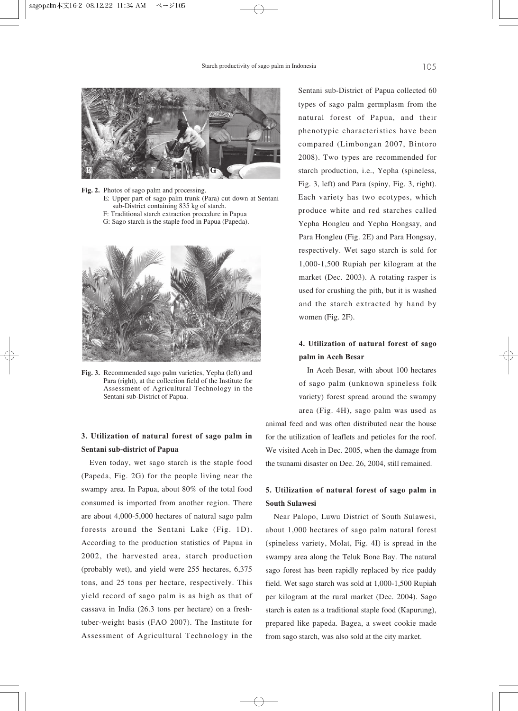

**Fig. 2.** Photos of sago palm and processing.

- E: Upper part of sago palm trunk (Para) cut down at Sentani sub-District containing 835 kg of starch.
- F: Traditional starch extraction procedure in Papua
- G: Sago starch is the staple food in Papua (Papeda).



**Fig. 3.** Recommended sago palm varieties, Yepha (left) and Para (right), at the collection field of the Institute for Assessment of Agricultural Technology in the Sentani sub-District of Papua.

#### **3. Utilization of natural forest of sago palm in Sentani sub-district of Papua**

Even today, wet sago starch is the staple food (Papeda, Fig. 2G) for the people living near the swampy area. In Papua, about 80% of the total food consumed is imported from another region. There are about 4,000-5,000 hectares of natural sago palm forests around the Sentani Lake (Fig. 1D). According to the production statistics of Papua in 2002, the harvested area, starch production (probably wet), and yield were 255 hectares, 6,375 tons, and 25 tons per hectare, respectively. This yield record of sago palm is as high as that of cassava in India (26.3 tons per hectare) on a freshtuber-weight basis (FAO 2007). The Institute for Assessment of Agricultural Technology in the Sentani sub-District of Papua collected 60 types of sago palm germplasm from the natural forest of Papua, and their phenotypic characteristics have been compared (Limbongan 2007, Bintoro 2008). Two types are recommended for starch production, i.e., Yepha (spineless, Fig. 3, left) and Para (spiny, Fig. 3, right). Each variety has two ecotypes, which produce white and red starches called Yepha Hongleu and Yepha Hongsay, and Para Hongleu (Fig. 2E) and Para Hongsay, respectively. Wet sago starch is sold for 1,000-1,500 Rupiah per kilogram at the market (Dec. 2003). A rotating rasper is used for crushing the pith, but it is washed and the starch extracted by hand by women (Fig. 2F).

### **4. Utilization of natural forest of sago palm in Aceh Besar**

In Aceh Besar, with about 100 hectares of sago palm (unknown spineless folk variety) forest spread around the swampy

area (Fig. 4H), sago palm was used as animal feed and was often distributed near the house for the utilization of leaflets and petioles for the roof. We visited Aceh in Dec. 2005, when the damage from the tsunami disaster on Dec. 26, 2004, still remained.

## **5. Utilization of natural forest of sago palm in South Sulawesi**

Near Palopo, Luwu District of South Sulawesi, about 1,000 hectares of sago palm natural forest (spineless variety, Molat, Fig. 4I) is spread in the swampy area along the Teluk Bone Bay. The natural sago forest has been rapidly replaced by rice paddy field. Wet sago starch was sold at 1,000-1,500 Rupiah per kilogram at the rural market (Dec. 2004). Sago starch is eaten as a traditional staple food (Kapurung), prepared like papeda. Bagea, a sweet cookie made from sago starch, was also sold at the city market.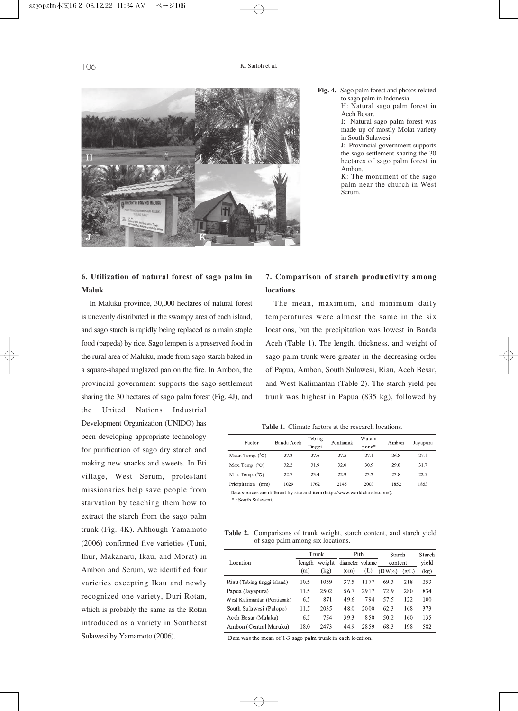

- **Fig. 4.** Sago palm forest and photos related to sago palm in Indonesia
	- H: Natural sago palm forest in Aceh Besar.

I: Natural sago palm forest was made up of mostly Molat variety in South Sulawesi.

J: Provincial government supports the sago settlement sharing the 30 hectares of sago palm forest in Ambon.

K: The monument of the sago palm near the church in West Serum.

# **6. Utilization of natural forest of sago palm in Maluk**

In Maluku province, 30,000 hectares of natural forest is unevenly distributed in the swampy area of each island, and sago starch is rapidly being replaced as a main staple food (papeda) by rice. Sago lempen is a preserved food in the rural area of Maluku, made from sago starch baked in a square-shaped unglazed pan on the fire. In Ambon, the provincial government supports the sago settlement sharing the 30 hectares of sago palm forest (Fig. 4J), and

the United Nations Industrial Development Organization (UNIDO) has been developing appropriate technology for purification of sago dry starch and making new snacks and sweets. In Eti village, West Serum, protestant missionaries help save people from starvation by teaching them how to extract the starch from the sago palm trunk (Fig. 4K). Although Yamamoto (2006) confirmed five varieties (Tuni, Ihur, Makanaru, Ikau, and Morat) in Ambon and Serum, we identified four varieties excepting Ikau and newly recognized one variety, Duri Rotan, which is probably the same as the Rotan introduced as a variety in Southeast Sulawesi by Yamamoto (2006).

### **7. Comparison of starch productivity among locations**

The mean, maximum, and minimum daily temperatures were almost the same in the six locations, but the precipitation was lowest in Banda Aceh (Table 1). The length, thickness, and weight of sago palm trunk were greater in the decreasing order of Papua, Ambon, South Sulawesi, Riau, Aceh Besar, and West Kalimantan (Table 2). The starch yield per trunk was highest in Papua (835 kg), followed by

**Table 1.** Climate factors at the research locations.

| Factor                | Banda Aceh | Tebing<br>Tinggi | Pontianak | Watam-<br>pone* | Ambon | Jayapura |
|-----------------------|------------|------------------|-----------|-----------------|-------|----------|
| Mean Temp. (°C)       | 27.2       | 27.6             | 27.5      | 27.1            | 26.8  | 27.1     |
| Max. Temp. (°C)       | 32.2       | 31.9             | 32.0      | 30.9            | 29.8  | 31.7     |
| Min. Temp. (°C)       | 22.7       | 23.4             | 22.9      | 23.3            | 23.8  | 22.5     |
| Pricipitation<br>(mm) | 1029       | 1762             | 2145      | 2003            | 1852  | 1853     |
|                       |            |                  |           |                 |       |          |

Data sources are different by site and item (http://www.worldclimate.com/). \*: South Sulawesi.

**Table 2.** Comparisons of trunk weight, starch content, and starch yield of sago palm among six locations.

|                             | <b>Trunk</b>     |      | Pith              |       | Starch   |       | Starch |
|-----------------------------|------------------|------|-------------------|-------|----------|-------|--------|
| Location                    | weight<br>length |      | diameter volume   |       | content  |       | yield  |
|                             | (m)              | (kg) | (c <sub>m</sub> ) | (L)   | $(DW\%)$ | (g/L) | (kg)   |
| Riau (Tebing tinggi island) | 10.5             | 1059 | 37.5              | 1177  | 69.3     | 218   | 253    |
| Papua (Jayapura)            | 11.5             | 2502 | 56.7              | 2917  | 72.9     | 280   | 834    |
| West Kalimantan (Pontianak) | 6.5              | 871  | 49.6              | 794   | 57.5     | 122   | 100    |
| South Sulawesi (Palopo)     | 11.5             | 2035 | 48.0              | 2000  | 62.3     | 168   | 373    |
| Aceh Besar (Malaka)         | 6.5              | 754  | 39.3              | 8.50  | 50.2     | 160   | 135    |
| Ambon (Central Maruku)      | 18.0             | 2473 | 44.9              | 28.59 | 68.3     | 198   | 582    |

Data was the mean of 1-3 sago palm trunk in each location.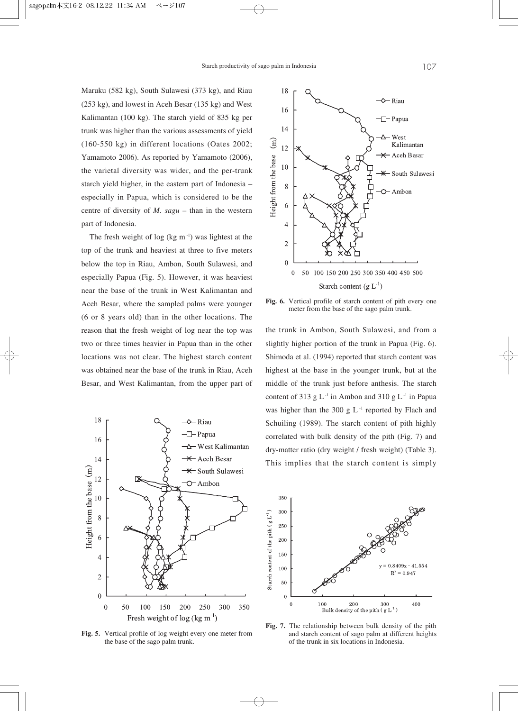Maruku (582 kg), South Sulawesi (373 kg), and Riau (253 kg), and lowest in Aceh Besar (135 kg) and West Kalimantan (100 kg). The starch yield of 835 kg per trunk was higher than the various assessments of yield (160-550 kg) in different locations (Oates 2002; Yamamoto 2006). As reported by Yamamoto (2006), the varietal diversity was wider, and the per-trunk starch yield higher, in the eastern part of Indonesia – especially in Papua, which is considered to be the centre of diversity of *M. sagu* – than in the western part of Indonesia.

The fresh weight of log (kg  $m^{-1}$ ) was lightest at the top of the trunk and heaviest at three to five meters below the top in Riau, Ambon, South Sulawesi, and especially Papua (Fig. 5). However, it was heaviest near the base of the trunk in West Kalimantan and Aceh Besar, where the sampled palms were younger (6 or 8 years old) than in the other locations. The reason that the fresh weight of log near the top was two or three times heavier in Papua than in the other locations was not clear. The highest starch content was obtained near the base of the trunk in Riau, Aceh Besar, and West Kalimantan, from the upper part of

![](_page_5_Figure_3.jpeg)

**Fig. 5.** Vertical profile of log weight every one meter from the base of the sago palm trunk.

![](_page_5_Figure_5.jpeg)

**Fig. 6.** Vertical profile of starch content of pith every one meter from the base of the sago palm trunk.

the trunk in Ambon, South Sulawesi, and from a slightly higher portion of the trunk in Papua (Fig. 6). Shimoda et al. (1994) reported that starch content was highest at the base in the younger trunk, but at the middle of the trunk just before anthesis. The starch content of 313 g  $L^{-1}$  in Ambon and 310 g  $L^{-1}$  in Papua was higher than the 300 g  $L^{-1}$  reported by Flach and Schuiling (1989). The starch content of pith highly correlated with bulk density of the pith (Fig. 7) and dry-matter ratio (dry weight / fresh weight) (Table 3). This implies that the starch content is simply

![](_page_5_Figure_8.jpeg)

**Fig. 7.** The relationship between bulk density of the pith and starch content of sago palm at different heights of the trunk in six locations in Indonesia.